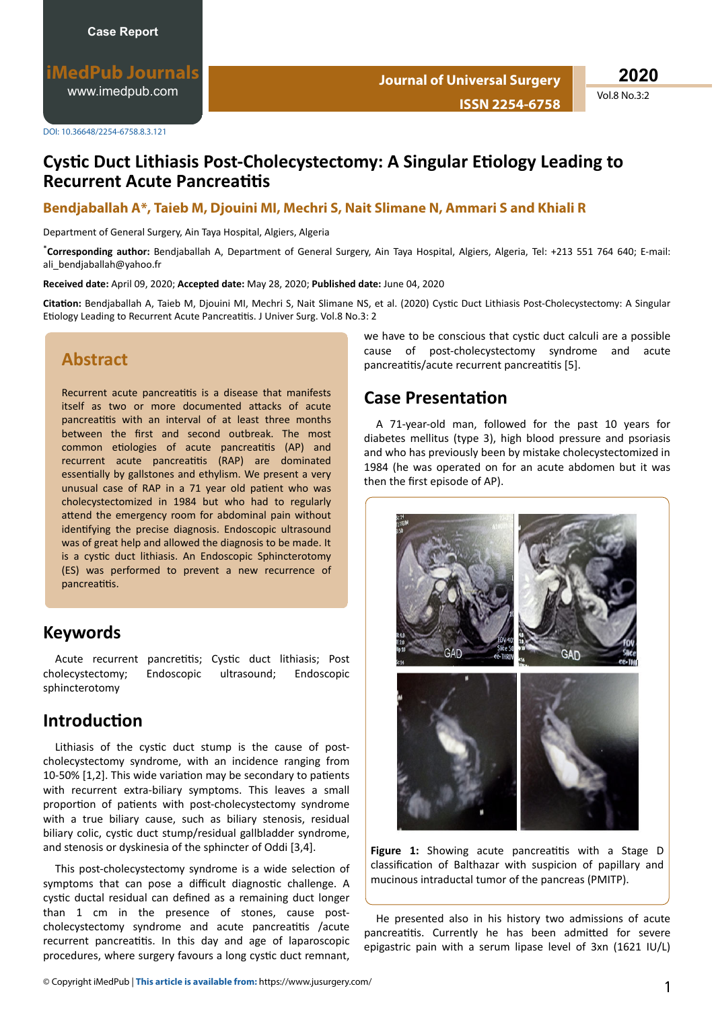**iMedPub Journals** [www.imedpub.com](http://www.imedpub.com/)

**ISSN 2254-6758**

**Journal of Universal Surgery**

Vol.8 No.3:2

## **Cystic Duct Lithiasis Post-Cholecystectomy: A Singular Etiology Leading to Recurrent Acute Pancreatitis**

#### **Bendjaballah A\*, Taieb M, Djouini MI, Mechri S, Nait Slimane N, Ammari S and Khiali R**

Department of General Surgery, Ain Taya Hospital, Algiers, Algeria

\***Corresponding author:** Bendjaballah A, Department of General Surgery, Ain Taya Hospital, Algiers, Algeria, Tel: +213 551 764 640; E-mail: ali bendjaballah@yahoo.fr

**Received date:** April 09, 2020; **Accepted date:** May 28, 2020; **Published date:** June 04, 2020

Citation: Bendjaballah A, Taieb M, Djouini MI, Mechri S, Nait Slimane NS, et al. (2020) Cystic Duct Lithiasis Post-Cholecystectomy: A Singular Etiology Leading to Recurrent Acute Pancreatitis. J Univer Surg. Vol.8 No.3: 2

## **Abstract**

Recurrent acute pancreatitis is a disease that manifests itself as two or more documented attacks of acute pancreatitis with an interval of at least three months between the first and second outbreak. The most common etiologies of acute pancreatitis (AP) and recurrent acute pancreatitis (RAP) are dominated essentially by gallstones and ethylism. We present a very unusual case of RAP in a 71 year old patient who was cholecystectomized in 1984 but who had to regularly attend the emergency room for abdominal pain without identifying the precise diagnosis. Endoscopic ultrasound was of great help and allowed the diagnosis to be made. It is a cystic duct lithiasis. An Endoscopic Sphincterotomy (ES) was performed to prevent a new recurrence of pancreatitis.

## **Keywords**

Acute recurrent pancretitis; Cystic duct lithiasis; Post cholecystectomy; Endoscopic ultrasound; Endoscopic sphincterotomy

## **Introduction**

Lithiasis of the cystic duct stump is the cause of postcholecystectomy syndrome, with an incidence ranging from 10-50% [1,2]. This wide variation may be secondary to patients with recurrent extra-biliary symptoms. This leaves a small proportion of patients with post-cholecystectomy syndrome with a true biliary cause, such as biliary stenosis, residual biliary colic, cystic duct stump/residual gallbladder syndrome, and stenosis or dyskinesia of the sphincter of Oddi [3,4].

This post-cholecystectomy syndrome is a wide selection of symptoms that can pose a difficult diagnostic challenge. A cystic ductal residual can defined as a remaining duct longer than 1 cm in the presence of stones, cause postcholecystectomy syndrome and acute pancreatitis /acute recurrent pancreatitis. In this day and age of laparoscopic procedures, where surgery favours a long cystic duct remnant,

we have to be conscious that cystic duct calculi are a possible cause of post-cholecystectomy syndrome and acute pancreatitis/acute recurrent pancreatitis [5].

## **Case Presentation**

A 71-year-old man, followed for the past 10 years for diabetes mellitus (type 3), high blood pressure and psoriasis and who has previously been by mistake cholecystectomized in 1984 (he was operated on for an acute abdomen but it was then the first episode of AP).



**Figure 1:** Showing acute pancreatitis with a Stage D classification of Balthazar with suspicion of papillary and mucinous intraductal tumor of the pancreas (PMITP).

He presented also in his history two admissions of acute pancreatitis. Currently he has been admitted for severe epigastric pain with a serum lipase level of 3xn (1621 IU/L)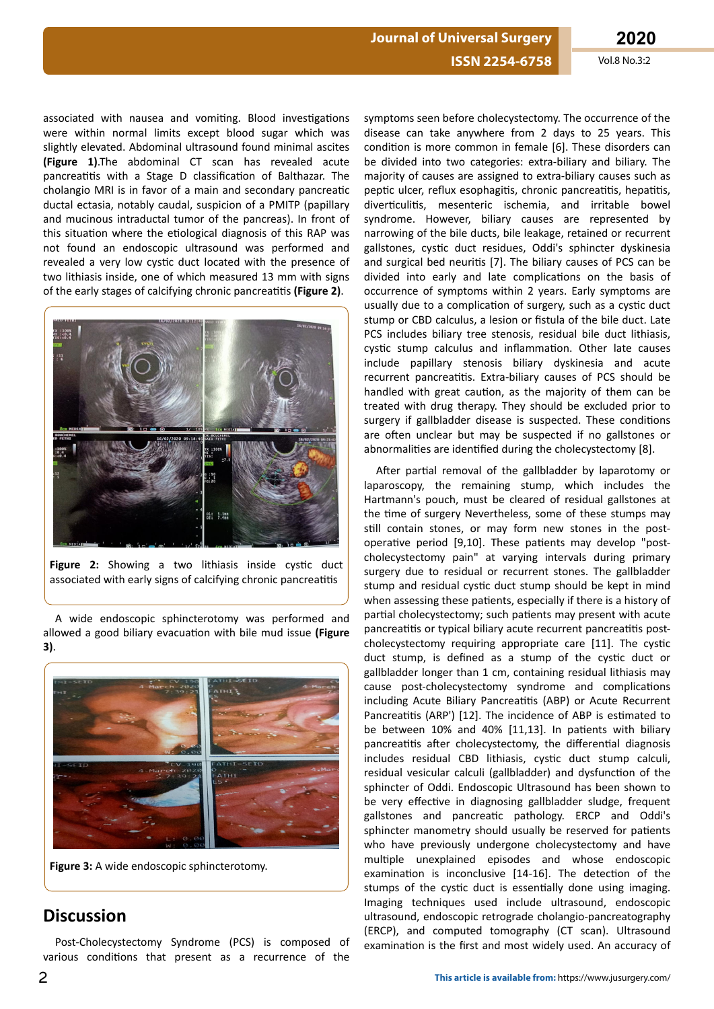# **Journal of Universal Surgery**

**ISSN 2254-6758** Vol.8 No.3:2

associated with nausea and vomiting. Blood investigations were within normal limits except blood sugar which was slightly elevated. Abdominal ultrasound found minimal ascites **(Figure 1)**.The abdominal CT scan has revealed acute pancreatitis with a Stage D classification of Balthazar. The cholangio MRI is in favor of a main and secondary pancreatic ductal ectasia, notably caudal, suspicion of a PMITP (papillary and mucinous intraductal tumor of the pancreas). In front of this situation where the etiological diagnosis of this RAP was not found an endoscopic ultrasound was performed and revealed a very low cystic duct located with the presence of two lithiasis inside, one of which measured 13 mm with signs of the early stages of calcifying chronic pancreatitis (Figure 2).



Figure 2: Showing a two lithiasis inside cystic duct associated with early signs of calcifying chronic pancreatitis

A wide endoscopic sphincterotomy was performed and allowed a good biliary evacuation with bile mud issue (Figure **3)**.



**Figure 3:** A wide endoscopic sphincterotomy.

## **Discussion**

Post-Cholecystectomy Syndrome (PCS) is composed of various conditions that present as a recurrence of the

symptoms seen before cholecystectomy. The occurrence of the disease can take anywhere from 2 days to 25 years. This condition is more common in female [6]. These disorders can be divided into two categories: extra-biliary and biliary. The majority of causes are assigned to extra-biliary causes such as peptic ulcer, reflux esophagitis, chronic pancreatitis, hepatitis, diverticulitis, mesenteric ischemia, and irritable bowel syndrome. However, biliary causes are represented by narrowing of the bile ducts, bile leakage, retained or recurrent gallstones, cystic duct residues, Oddi's sphincter dyskinesia and surgical bed neuritis [7]. The biliary causes of PCS can be divided into early and late complications on the basis of occurrence of symptoms within 2 years. Early symptoms are usually due to a complication of surgery, such as a cystic duct stump or CBD calculus, a lesion or fistula of the bile duct. Late PCS includes biliary tree stenosis, residual bile duct lithiasis, cystic stump calculus and inflammation. Other late causes include papillary stenosis biliary dyskinesia and acute recurrent pancreatitis. Extra-biliary causes of PCS should be handled with great caution, as the majority of them can be treated with drug therapy. They should be excluded prior to surgery if gallbladder disease is suspected. These conditions are often unclear but may be suspected if no gallstones or abnormalities are identified during the cholecystectomy [8].

After partial removal of the gallbladder by laparotomy or laparoscopy, the remaining stump, which includes the Hartmann's pouch, must be cleared of residual gallstones at the time of surgery Nevertheless, some of these stumps may still contain stones, or may form new stones in the postoperative period [9,10]. These patients may develop "postcholecystectomy pain" at varying intervals during primary surgery due to residual or recurrent stones. The gallbladder stump and residual cystic duct stump should be kept in mind when assessing these patients, especially if there is a history of partial cholecystectomy; such patients may present with acute pancreatitis or typical biliary acute recurrent pancreatitis postcholecystectomy requiring appropriate care [11]. The cystic duct stump, is defined as a stump of the cystic duct or gallbladder longer than 1 cm, containing residual lithiasis may cause post-cholecystectomy syndrome and complications including Acute Biliary Pancreatitis (ABP) or Acute Recurrent Pancreatitis (ARP') [12]. The incidence of ABP is estimated to be between 10% and 40% [11,13]. In patients with biliary pancreatitis after cholecystectomy, the differential diagnosis includes residual CBD lithiasis, cystic duct stump calculi, residual vesicular calculi (gallbladder) and dysfunction of the sphincter of Oddi. Endoscopic Ultrasound has been shown to be very effective in diagnosing gallbladder sludge, frequent gallstones and pancreatic pathology. ERCP and Oddi's sphincter manometry should usually be reserved for patients who have previously undergone cholecystectomy and have multiple unexplained episodes and whose endoscopic examination is inconclusive [14-16]. The detection of the stumps of the cystic duct is essentially done using imaging. Imaging techniques used include ultrasound, endoscopic ultrasound, endoscopic retrograde cholangio-pancreatography (ERCP), and computed tomography (CT scan). Ultrasound examination is the first and most widely used. An accuracy of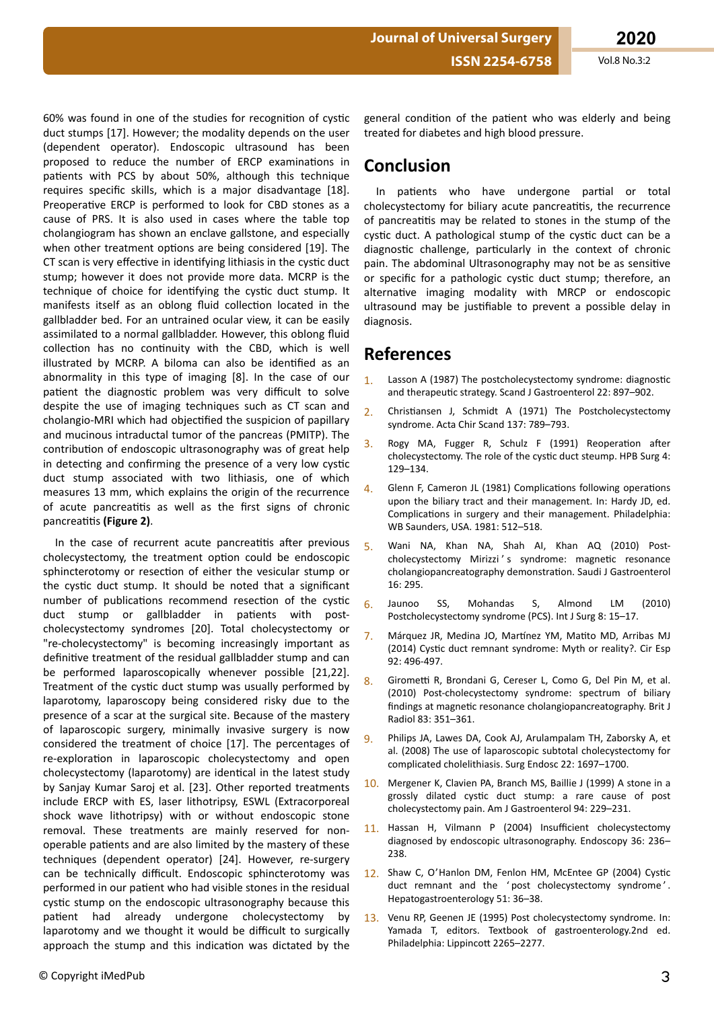**Journal of Universal Surgery**

60% was found in one of the studies for recognition of cystic duct stumps [17]. However; the modality depends on the user (dependent operator). Endoscopic ultrasound has been proposed to reduce the number of ERCP examinations in patients with PCS by about 50%, although this technique requires specific skills, which is a major disadvantage [18]. Preoperative ERCP is performed to look for CBD stones as a cause of PRS. It is also used in cases where the table top cholangiogram has shown an enclave gallstone, and especially when other treatment options are being considered [19]. The CT scan is very effective in identifying lithiasis in the cystic duct stump; however it does not provide more data. MCRP is the technique of choice for identifying the cystic duct stump. It manifests itself as an oblong fluid collection located in the gallbladder bed. For an untrained ocular view, it can be easily assimilated to a normal gallbladder. However, this oblong fluid collection has no continuity with the CBD, which is well illustrated by MCRP. A biloma can also be identified as an abnormality in this type of imaging [8]. In the case of our patient the diagnostic problem was very difficult to solve despite the use of imaging techniques such as CT scan and cholangio-MRI which had objectified the suspicion of papillary and mucinous intraductal tumor of the pancreas (PMITP). The contribution of endoscopic ultrasonography was of great help in detecting and confirming the presence of a very low cystic duct stump associated with two lithiasis, one of which measures 13 mm, which explains the origin of the recurrence of acute pancreatitis as well as the first signs of chronic pancreatitis (Figure 2).

In the case of recurrent acute pancreatitis after previous cholecystectomy, the treatment option could be endoscopic sphincterotomy or resection of either the vesicular stump or the cystic duct stump. It should be noted that a significant number of publications recommend resection of the cystic duct stump or gallbladder in patients with postcholecystectomy syndromes [20]. Total cholecystectomy or "re-cholecystectomy" is becoming increasingly important as definitive treatment of the residual gallbladder stump and can be performed laparoscopically whenever possible [21,22]. Treatment of the cystic duct stump was usually performed by laparotomy, laparoscopy being considered risky due to the presence of a scar at the surgical site. Because of the mastery of laparoscopic surgery, minimally invasive surgery is now considered the treatment of choice [17]. The percentages of re-exploration in laparoscopic cholecystectomy and open cholecystectomy (laparotomy) are identical in the latest study by Sanjay Kumar Saroj et al. [23]. Other reported treatments include ERCP with ES, laser lithotripsy, ESWL (Extracorporeal shock wave lithotripsy) with or without endoscopic stone removal. These treatments are mainly reserved for nonoperable patients and are also limited by the mastery of these techniques (dependent operator) [24]. However, re-surgery can be technically difficult. Endoscopic sphincterotomy was performed in our patient who had visible stones in the residual cystic stump on the endoscopic ultrasonography because this patient had already undergone cholecystectomy by laparotomy and we thought it would be difficult to surgically approach the stump and this indication was dictated by the

## **Conclusion**

In patients who have undergone partial or total cholecystectomy for biliary acute pancreatitis, the recurrence of pancreatitis may be related to stones in the stump of the cystic duct. A pathological stump of the cystic duct can be a diagnostic challenge, particularly in the context of chronic pain. The abdominal Ultrasonography may not be as sensitive or specific for a pathologic cystic duct stump; therefore, an alternative imaging modality with MRCP or endoscopic ultrasound may be justifiable to prevent a possible delay in diagnosis.

## **References**

- 1. Lasson A (1987) The postcholecystectomy syndrome: diagnostic and therapeutic strategy. Scand J Gastroenterol 22: 897–902.
- 2. Christiansen J, Schmidt A (1971) The Postcholecystectomy syndrome. Acta Chir Scand 137: 789–793.
- $3.$  Rogy MA, Fugger R, Schulz F (1991) Reoperation after cholecystectomy. The role of the cystic duct steump. HPB Surg 4: 129–134.
- 4. Glenn F, Cameron JL (1981) Complications following operations upon the biliary tract and their management. In: Hardy JD, ed. Complications in surgery and their management. Philadelphia: WB Saunders, USA. 1981: 512–518.
- 5. Wani NA, Khan NA, Shah AI, Khan AQ (2010) Postcholecystectomy Mirizzi's syndrome: magnetic resonance cholangiopancreatography demonstration. Saudi J Gastroenterol 16: 295.
- 6. Jaunoo SS, Mohandas S, Almond LM (2010) Postcholecystectomy syndrome (PCS). Int J Surg 8: 15–17.
- 7. Márquez JR, Medina JO, Martínez YM, Matito MD, Arribas MJ (2014) Cystic duct remnant syndrome: Myth or reality?. Cir Esp 92: 496-497.
- 8. Girometti R, Brondani G, Cereser L, Como G, Del Pin M, et al. (2010) Post-cholecystectomy syndrome: spectrum of biliary findings at magnetic resonance cholangiopancreatography. Brit J Radiol 83: 351–361.
- 9. Philips JA, Lawes DA, Cook AJ, Arulampalam TH, Zaborsky A, et al. (2008) The use of laparoscopic subtotal cholecystectomy for complicated cholelithiasis. Surg Endosc 22: 1697–1700.
- 10. Mergener K, Clavien PA, Branch MS, Baillie J (1999) A stone in a grossly dilated cystic duct stump: a rare cause of post cholecystectomy pain. Am J Gastroenterol 94: 229–231.
- 11. Hassan H, Vilmann P (2004) Insufficient cholecystectomy diagnosed by endoscopic ultrasonography. Endoscopy 36: 236– 238.
- 12. Shaw C, O'Hanlon DM, Fenlon HM, McEntee GP (2004) Cystic duct remnant and the 'post cholecystectomy syndrome'. Hepatogastroenterology 51: 36–38.
- 13. Venu RP, Geenen JE (1995) Post cholecystectomy syndrome. In: Yamada T, editors. Textbook of gastroenterology.2nd ed. Philadelphia: Lippincott 2265-2277.